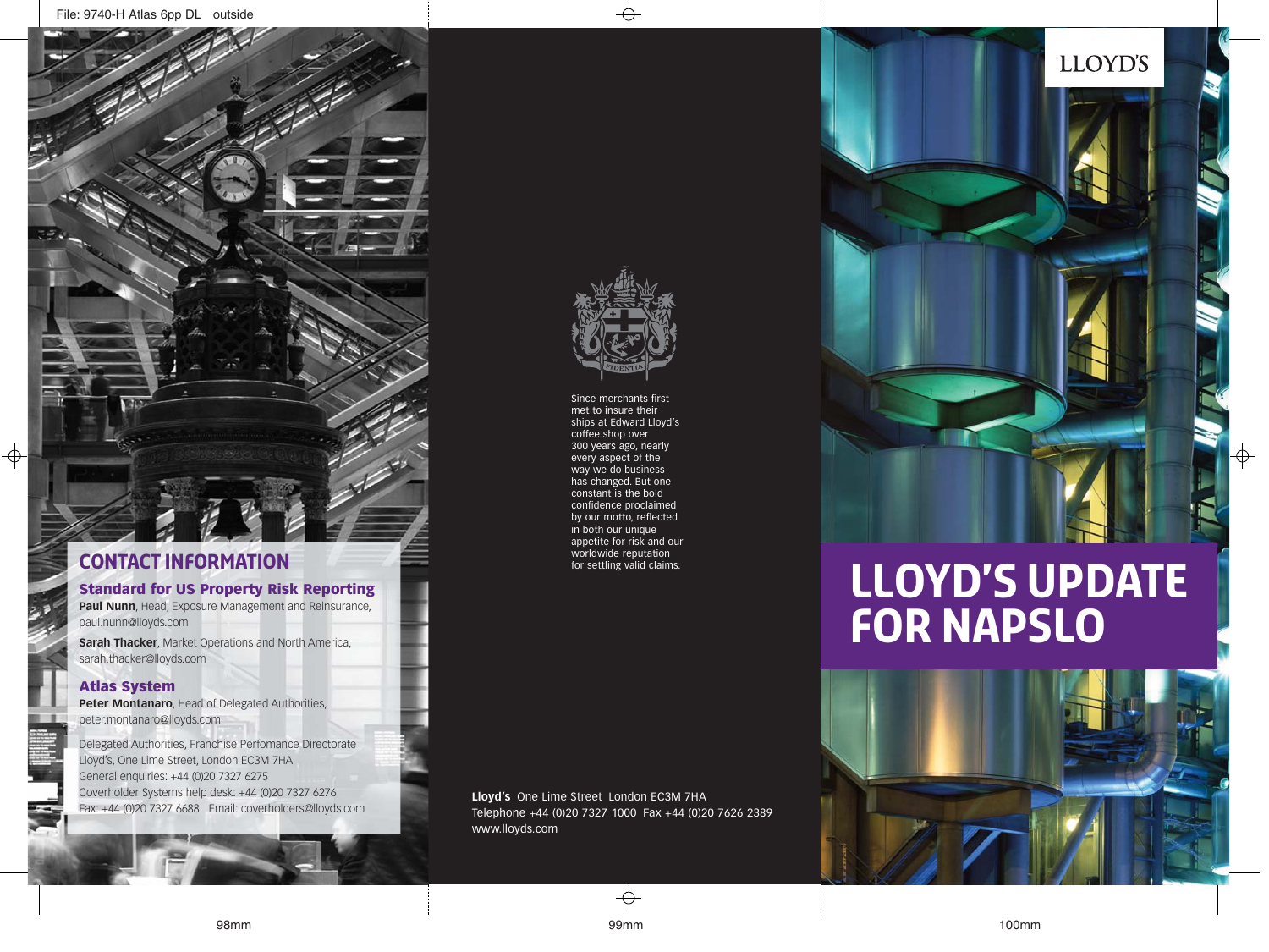### **CONTACT INFORMATION CONTACT INFORMATION**

#### **Standard for US Property Risk Reporting**

**Paul Nunn**, Head, Exposure Management and Reinsurance, paul.nunn@lloyds.com

**Sarah Thacker**, Market Operations and North America, sarah.thacker@lloyds.com

#### **Atlas System**

**Peter Montanaro**, Head of Delegated Authorities, peter.montanaro@lloyds.com

Delegated Authorities, Franchise Perfomance Directorate Lloyd's, One Lime Street, London EC3M 7HA General enquiries: +44 (0)20 7327 6275 Coverholder Systems help desk: +44 (0)20 7327 6276 Fax: +44 (0)20 7327 6688 Email: coverholders@lloyds.com

**Lloyd's** One Lime Street London EC3M 7HA Telephone +44 (0)20 7327 1000 Fax +44 (0)20 7626 2389 www.lloyds.com

# **LLOYD'S UPDATE FOR NAPSLO**





Since merchants first met to insure their ships at Edward Lloyd's coffee shop over 300 years ago, nearly every aspect of the way we do business has changed. But one constant is the bold confidence proclaimed by our motto, reflected in both our unique appetite for risk and our<br>worldwide reputation



## **LLOYD'S**